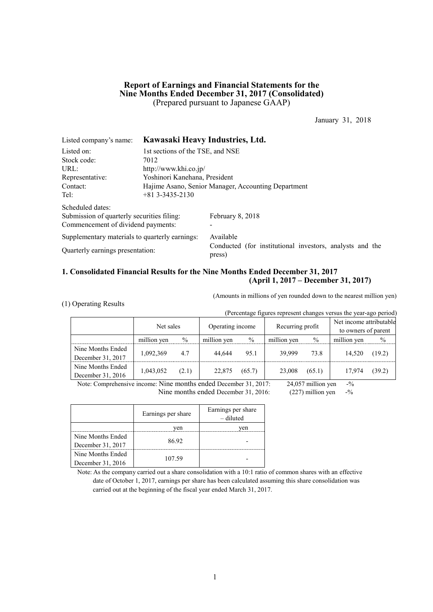## **Report of Earnings and Financial Statements for the Nine Months Ended December 31, 2017 (Consolidated)** (Prepared pursuant to Japanese GAAP)

January 31, 2018

| Listed company's name:                         | Kawasaki Heavy Industries, Ltd.                     |                                                                    |  |  |  |  |
|------------------------------------------------|-----------------------------------------------------|--------------------------------------------------------------------|--|--|--|--|
| Listed on:                                     | 1st sections of the TSE, and NSE                    |                                                                    |  |  |  |  |
| Stock code:                                    | 7012                                                |                                                                    |  |  |  |  |
| URL:                                           |                                                     | http://www.khi.co.jp/                                              |  |  |  |  |
| Representative:                                | Yoshinori Kanehana, President                       |                                                                    |  |  |  |  |
| Contact:                                       | Hajime Asano, Senior Manager, Accounting Department |                                                                    |  |  |  |  |
| Tel:                                           | $+81$ 3-3435-2130                                   |                                                                    |  |  |  |  |
| Scheduled dates:                               |                                                     |                                                                    |  |  |  |  |
| Submission of quarterly securities filing:     |                                                     | February 8, 2018                                                   |  |  |  |  |
| Commencement of dividend payments:             |                                                     |                                                                    |  |  |  |  |
| Supplementary materials to quarterly earnings: |                                                     | Available                                                          |  |  |  |  |
| Quarterly earnings presentation:               |                                                     | Conducted (for institutional investors, analysts and the<br>press) |  |  |  |  |

## **1. Consolidated Financial Results for the Nine Months Ended December 31, 2017 (April 1, 2017 – December 31, 2017)**

(1) Operating Results

(Amounts in millions of yen rounded down to the nearest million yen)

| (Percentage figures represent changes versus the year-ago period) |             |       |                  |               |                  |        |                                                |        |  |
|-------------------------------------------------------------------|-------------|-------|------------------|---------------|------------------|--------|------------------------------------------------|--------|--|
|                                                                   | Net sales   |       | Operating income |               | Recurring profit |        | Net income attributable<br>to owners of parent |        |  |
|                                                                   | million yen | $\%$  | million yen      | $\frac{0}{0}$ | million yen      | $\%$   | million yen                                    | $\%$   |  |
| Nine Months Ended<br>December 31, 2017                            | 1,092,369   | 4.7   | 44.644           | 95.1          | 39.999           | 73.8   | 14.520                                         | (19.2) |  |
| Nine Months Ended<br>December 31, 2016                            | 1,043,052   | (2.1) | 22,875           | (65.7)        | 23,008           | (65.1) | 17,974                                         | (39.2) |  |

Note: Comprehensive income: Nine months ended December 31, 2017: 24,057 million yen -%<br>Nine months ended December 31, 2016: (227) million yen -% Nine months ended December 31, 2016: (227) million yen -%

|                   | Earnings per share | Earnings per share<br>- diluted |
|-------------------|--------------------|---------------------------------|
|                   | ven                | ven                             |
| Nine Months Ended | 86.92              |                                 |
| December 31, 2017 |                    |                                 |
| Nine Months Ended | 107.59             |                                 |
| December 31, 2016 |                    |                                 |

Note: As the company carried out a share consolidation with a 10:1 ratio of common shares with an effective date of October 1, 2017, earnings per share has been calculated assuming this share consolidation was carried out at the beginning of the fiscal year ended March 31, 2017.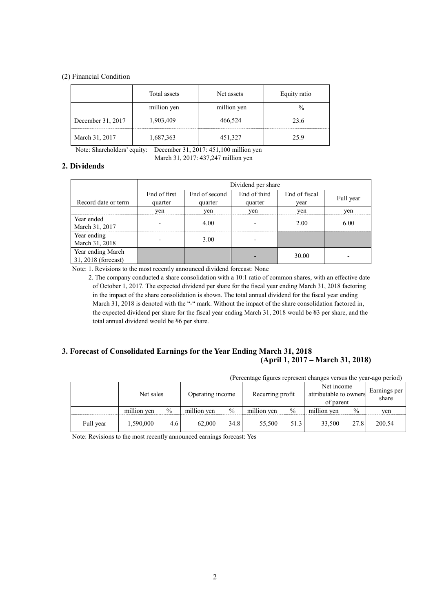### (2) Financial Condition

|                   | Total assets | Net assets  | Equity ratio |
|-------------------|--------------|-------------|--------------|
|                   | million yen  | million yen |              |
| December 31, 2017 | 1,903,409    | 466,524     | 23.6         |
| March 31, 2017    | 1,687,363    | 451,327     | 25.9         |

Note: Shareholders' equity: December 31, 2017: 451,100 million yen

March 31, 2017: 437,247 million yen

## **2. Dividends**

|                                          | Dividend per share |               |              |               |           |  |  |
|------------------------------------------|--------------------|---------------|--------------|---------------|-----------|--|--|
|                                          | End of first       | End of second | End of third | End of fiscal | Full year |  |  |
| Record date or term                      | quarter            | quarter       | quarter      | vear          |           |  |  |
|                                          | ven                | yen           | yen          | yen           | yen       |  |  |
| Year ended<br>March 31, 2017             |                    | 4.00          |              | 2.00          | 6.00      |  |  |
| Year ending<br>March 31, 2018            |                    | 3.00          |              |               |           |  |  |
| Year ending March<br>31, 2018 (forecast) |                    |               |              | 30.00         |           |  |  |

Note: 1. Revisions to the most recently announced dividend forecast: None

2. The company conducted a share consolidation with a 10:1 ratio of common shares, with an effective date of October 1, 2017. The expected dividend per share for the fiscal year ending March 31, 2018 factoring in the impact of the share consolidation is shown. The total annual dividend for the fiscal year ending March 31, 2018 is denoted with the "-" mark. Without the impact of the share consolidation factored in, the expected dividend per share for the fiscal year ending March 31, 2018 would be ¥3 per share, and the total annual dividend would be ¥6 per share.

# **3. Forecast of Consolidated Earnings for the Year Ending March 31, 2018 (April 1, 2017 – March 31, 2018)**

| (Percentage figures represent changes versus the year-ago period) |             |      |                  |      |                  |               |                                                   |      |                       |
|-------------------------------------------------------------------|-------------|------|------------------|------|------------------|---------------|---------------------------------------------------|------|-----------------------|
|                                                                   | Net sales   |      | Operating income |      | Recurring profit |               | Net income<br>attributable to owners<br>of parent |      | Earnings per<br>share |
|                                                                   | million yen | $\%$ | million yen      | $\%$ | million yen      | $\frac{0}{0}$ | million yen                                       | $\%$ | yen                   |
| Full year                                                         | 1,590,000   | 4.6  | 62,000           | 34.8 | 55.500           | 51.3          | 33.500                                            | 27.8 | 200.54                |

Note: Revisions to the most recently announced earnings forecast: Yes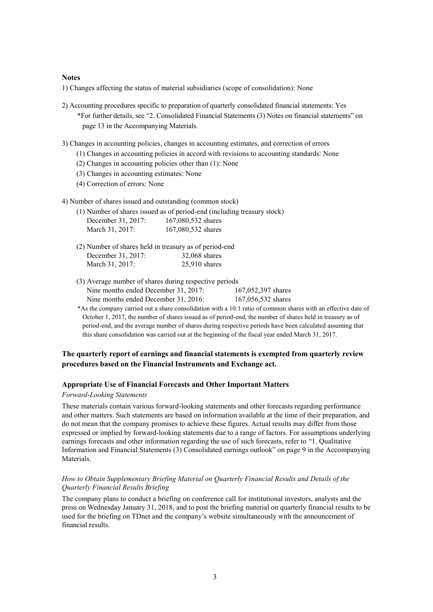### **Notes**

1) Changes affecting the status of material subsidiaries (scope of consolidation): None

- 2) Accounting procedures specific to preparation of quarterly consolidated financial statements: Yes \*For further details, see "2. Consolidated Financial Statements (3) Notes on financial statements" on page 13 in the Accompanying Materials.
- 3) Changes in accounting policies, changes in accounting estimates, and correction of errors
	- (1) Changes in accounting policies in accord with revisions to accounting standards: None
	- (2) Changes in accounting policies other than (1): None
	- (3) Changes in accounting estimates: None
	- (4) Correction of errors: None
- 4) Number of shares issued and outstanding (common stock)

|                    | (1) Number of shares issued as of period-end (including treasury stock) |
|--------------------|-------------------------------------------------------------------------|
| December 31, 2017: | 167,080,532 shares                                                      |
| March 31, 2017:    | 167,080,532 shares                                                      |

- (2) Number of shares held in treasury as of period-end December 31, 2017: 32,068 shares March 31, 2017: 25,910 shares
- (3) Average number of shares during respective periods Nine months ended December 31, 2017: 167,052,397 shares Nine months ended December 31, 2016: 167,056,532 shares
- \*As the company carried out a share consolidation with a 10:1 ratio of common shares with an effective date of October 1, 2017, the number of shares issued as of period-end, the number of shares held in treasury as of period-end, and the average number of shares during respective periods have been calculated assuming that this share consolidation was carried out at the beginning of the fiscal year ended March 31, 2017.

## **The quarterly report of earnings and financial statements is exempted from quarterly review procedures based on the Financial Instruments and Exchange act.**

### **Appropriate Use of Financial Forecasts and Other Important Matters**

### *Forward-Looking Statements*

These materials contain various forward-looking statements and other forecasts regarding performance and other matters. Such statements are based on information available at the time of their preparation, and do not mean that the company promises to achieve these figures. Actual results may differ from those expressed or implied by forward-looking statements due to a range of factors. For assumptions underlying earnings forecasts and other information regarding the use of such forecasts, refer to "1. Qualitative Information and Financial Statements (3) Consolidated earnings outlook" on page 9 in the Accompanying Materials.

## *How to Obtain Supplementary Briefing Material on Quarterly Financial Results and Details of the Quarterly Financial Results Briefing*

The company plans to conduct a briefing on conference call for institutional investors, analysts and the press on Wednesday January 31, 2018, and to post the briefing material on quarterly financial results to be used for the briefing on TDnet and the company's website simultaneously with the announcement of financial results.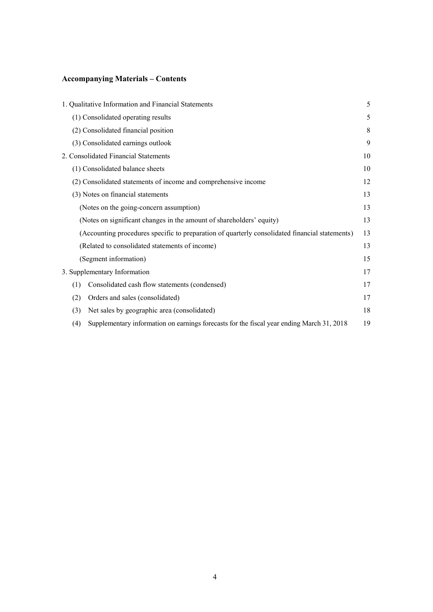# **Accompanying Materials – Contents**

|     | 1. Qualitative Information and Financial Statements                                            | 5  |
|-----|------------------------------------------------------------------------------------------------|----|
|     | (1) Consolidated operating results                                                             | 5  |
|     | (2) Consolidated financial position                                                            | 8  |
|     | (3) Consolidated earnings outlook                                                              | 9  |
|     | 2. Consolidated Financial Statements                                                           | 10 |
|     | (1) Consolidated balance sheets                                                                | 10 |
|     | (2) Consolidated statements of income and comprehensive income                                 | 12 |
|     | (3) Notes on financial statements                                                              | 13 |
|     | (Notes on the going-concern assumption)                                                        | 13 |
|     | (Notes on significant changes in the amount of shareholders' equity)                           | 13 |
|     | (Accounting procedures specific to preparation of quarterly consolidated financial statements) | 13 |
|     | (Related to consolidated statements of income)                                                 | 13 |
|     | (Segment information)                                                                          | 15 |
|     | 3. Supplementary Information                                                                   | 17 |
| (1) | Consolidated cash flow statements (condensed)                                                  | 17 |
| (2) | Orders and sales (consolidated)                                                                | 17 |
| (3) | Net sales by geographic area (consolidated)                                                    | 18 |
| (4) | Supplementary information on earnings forecasts for the fiscal year ending March 31, 2018      | 19 |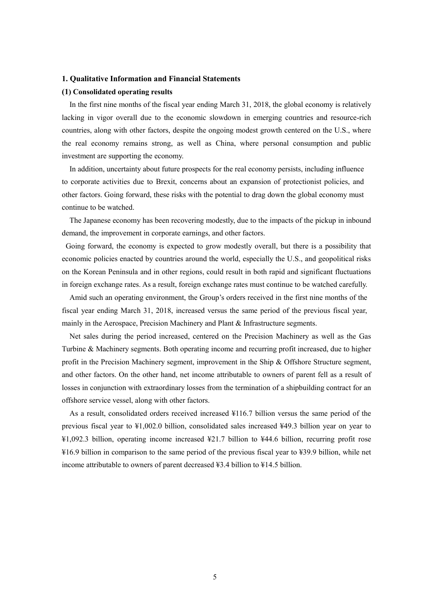### **1. Qualitative Information and Financial Statements**

### **(1) Consolidated operating results**

In the first nine months of the fiscal year ending March 31, 2018, the global economy is relatively lacking in vigor overall due to the economic slowdown in emerging countries and resource-rich countries, along with other factors, despite the ongoing modest growth centered on the U.S., where the real economy remains strong, as well as China, where personal consumption and public investment are supporting the economy.

In addition, uncertainty about future prospects for the real economy persists, including influence to corporate activities due to Brexit, concerns about an expansion of protectionist policies, and other factors. Going forward, these risks with the potential to drag down the global economy must continue to be watched.

The Japanese economy has been recovering modestly, due to the impacts of the pickup in inbound demand, the improvement in corporate earnings, and other factors.

Going forward, the economy is expected to grow modestly overall, but there is a possibility that economic policies enacted by countries around the world, especially the U.S., and geopolitical risks on the Korean Peninsula and in other regions, could result in both rapid and significant fluctuations in foreign exchange rates. As a result, foreign exchange rates must continue to be watched carefully.

Amid such an operating environment, the Group's orders received in the first nine months of the fiscal year ending March 31, 2018, increased versus the same period of the previous fiscal year, mainly in the Aerospace, Precision Machinery and Plant & Infrastructure segments.

Net sales during the period increased, centered on the Precision Machinery as well as the Gas Turbine & Machinery segments. Both operating income and recurring profit increased, due to higher profit in the Precision Machinery segment, improvement in the Ship & Offshore Structure segment, and other factors. On the other hand, net income attributable to owners of parent fell as a result of losses in conjunction with extraordinary losses from the termination of a shipbuilding contract for an offshore service vessel, along with other factors.

As a result, consolidated orders received increased ¥116.7 billion versus the same period of the previous fiscal year to ¥1,002.0 billion, consolidated sales increased ¥49.3 billion year on year to ¥1,092.3 billion, operating income increased ¥21.7 billion to ¥44.6 billion, recurring profit rose ¥16.9 billion in comparison to the same period of the previous fiscal year to ¥39.9 billion, while net income attributable to owners of parent decreased ¥3.4 billion to ¥14.5 billion.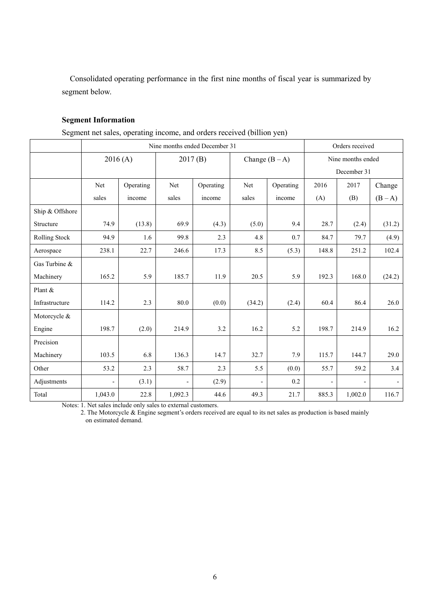Consolidated operating performance in the first nine months of fiscal year is summarized by segment below.

# **Segment Information**

Segment net sales, operating income, and orders received (billion yen)

|                 | Nine months ended December 31 |           |         |           |                          |                  |                | Orders received   |         |  |
|-----------------|-------------------------------|-----------|---------|-----------|--------------------------|------------------|----------------|-------------------|---------|--|
|                 |                               | 2016(A)   | 2017(B) |           |                          | Change $(B - A)$ |                | Nine months ended |         |  |
|                 |                               |           |         |           |                          |                  |                | December 31       |         |  |
|                 | Net                           | Operating | Net     | Operating | Net                      | Operating        | 2016           | 2017              | Change  |  |
|                 | sales                         | income    | sales   | income    | sales                    | income           | (A)            | (B)               | $(B-A)$ |  |
| Ship & Offshore |                               |           |         |           |                          |                  |                |                   |         |  |
| Structure       | 74.9                          | (13.8)    | 69.9    | (4.3)     | (5.0)                    | 9.4              | 28.7           | (2.4)             | (31.2)  |  |
| Rolling Stock   | 94.9                          | 1.6       | 99.8    | 2.3       | 4.8                      | 0.7              | 84.7           | 79.7              | (4.9)   |  |
| Aerospace       | 238.1                         | 22.7      | 246.6   | 17.3      | 8.5                      | (5.3)            | 148.8          | 251.2             | 102.4   |  |
| Gas Turbine &   |                               |           |         |           |                          |                  |                |                   |         |  |
| Machinery       | 165.2                         | 5.9       | 185.7   | 11.9      | 20.5                     | 5.9              | 192.3          | 168.0             | (24.2)  |  |
| Plant &         |                               |           |         |           |                          |                  |                |                   |         |  |
| Infrastructure  | 114.2                         | 2.3       | 80.0    | (0.0)     | (34.2)                   | (2.4)            | 60.4           | 86.4              | 26.0    |  |
| Motorcycle &    |                               |           |         |           |                          |                  |                |                   |         |  |
| Engine          | 198.7                         | (2.0)     | 214.9   | 3.2       | 16.2                     | 5.2              | 198.7          | 214.9             | 16.2    |  |
| Precision       |                               |           |         |           |                          |                  |                |                   |         |  |
| Machinery       | 103.5                         | 6.8       | 136.3   | 14.7      | 32.7                     | 7.9              | 115.7          | 144.7             | 29.0    |  |
| Other           | 53.2                          | 2.3       | 58.7    | 2.3       | 5.5                      | (0.0)            | 55.7           | 59.2              | 3.4     |  |
| Adjustments     |                               | (3.1)     |         | (2.9)     | $\overline{\phantom{a}}$ | 0.2              | $\overline{a}$ |                   |         |  |
| Total           | 1,043.0                       | 22.8      | 1,092.3 | 44.6      | 49.3                     | 21.7             | 885.3          | 1,002.0           | 116.7   |  |

Notes: 1. Net sales include only sales to external customers.

2. The Motorcycle & Engine segment's orders received are equal to its net sales as production is based mainly on estimated demand.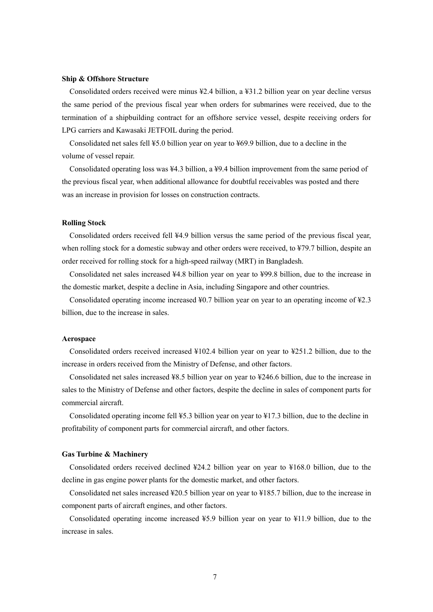### **Ship & Offshore Structure**

Consolidated orders received were minus ¥2.4 billion, a ¥31.2 billion year on year decline versus the same period of the previous fiscal year when orders for submarines were received, due to the termination of a shipbuilding contract for an offshore service vessel, despite receiving orders for LPG carriers and Kawasaki JETFOIL during the period.

Consolidated net sales fell ¥5.0 billion year on year to ¥69.9 billion, due to a decline in the volume of vessel repair.

Consolidated operating loss was ¥4.3 billion, a ¥9.4 billion improvement from the same period of the previous fiscal year, when additional allowance for doubtful receivables was posted and there was an increase in provision for losses on construction contracts.

### **Rolling Stock**

Consolidated orders received fell ¥4.9 billion versus the same period of the previous fiscal year, when rolling stock for a domestic subway and other orders were received, to ¥79.7 billion, despite an order received for rolling stock for a high-speed railway (MRT) in Bangladesh.

Consolidated net sales increased ¥4.8 billion year on year to ¥99.8 billion, due to the increase in the domestic market, despite a decline in Asia, including Singapore and other countries.

Consolidated operating income increased ¥0.7 billion year on year to an operating income of ¥2.3 billion, due to the increase in sales.

### **Aerospace**

Consolidated orders received increased ¥102.4 billion year on year to ¥251.2 billion, due to the increase in orders received from the Ministry of Defense, and other factors.

Consolidated net sales increased ¥8.5 billion year on year to ¥246.6 billion, due to the increase in sales to the Ministry of Defense and other factors, despite the decline in sales of component parts for commercial aircraft.

Consolidated operating income fell ¥5.3 billion year on year to ¥17.3 billion, due to the decline in profitability of component parts for commercial aircraft, and other factors.

### **Gas Turbine & Machinery**

Consolidated orders received declined ¥24.2 billion year on year to ¥168.0 billion, due to the decline in gas engine power plants for the domestic market, and other factors.

Consolidated net sales increased ¥20.5 billion year on year to ¥185.7 billion, due to the increase in component parts of aircraft engines, and other factors.

Consolidated operating income increased ¥5.9 billion year on year to ¥11.9 billion, due to the increase in sales.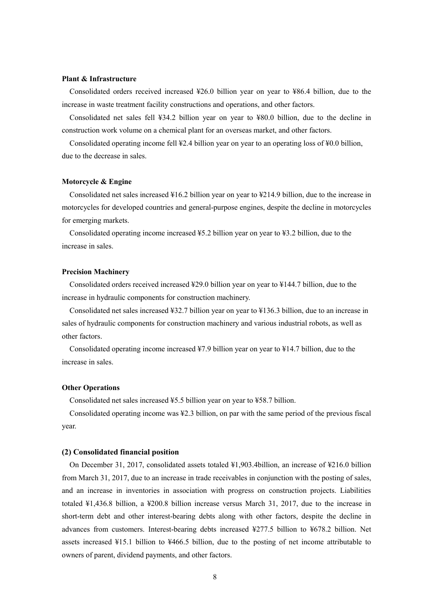### **Plant & Infrastructure**

Consolidated orders received increased ¥26.0 billion year on year to ¥86.4 billion, due to the increase in waste treatment facility constructions and operations, and other factors.

Consolidated net sales fell ¥34.2 billion year on year to ¥80.0 billion, due to the decline in construction work volume on a chemical plant for an overseas market, and other factors.

Consolidated operating income fell ¥2.4 billion year on year to an operating loss of ¥0.0 billion, due to the decrease in sales.

### **Motorcycle & Engine**

Consolidated net sales increased ¥16.2 billion year on year to ¥214.9 billion, due to the increase in motorcycles for developed countries and general-purpose engines, despite the decline in motorcycles for emerging markets.

Consolidated operating income increased ¥5.2 billion year on year to ¥3.2 billion, due to the increase in sales.

### **Precision Machinery**

Consolidated orders received increased ¥29.0 billion year on year to ¥144.7 billion, due to the increase in hydraulic components for construction machinery.

Consolidated net sales increased ¥32.7 billion year on year to ¥136.3 billion, due to an increase in sales of hydraulic components for construction machinery and various industrial robots, as well as other factors.

Consolidated operating income increased ¥7.9 billion year on year to ¥14.7 billion, due to the increase in sales.

### **Other Operations**

Consolidated net sales increased ¥5.5 billion year on year to ¥58.7 billion.

Consolidated operating income was ¥2.3 billion, on par with the same period of the previous fiscal year.

#### **(2) Consolidated financial position**

On December 31, 2017, consolidated assets totaled ¥1,903.4billion, an increase of ¥216.0 billion from March 31, 2017, due to an increase in trade receivables in conjunction with the posting of sales, and an increase in inventories in association with progress on construction projects. Liabilities totaled ¥1,436.8 billion, a ¥200.8 billion increase versus March 31, 2017, due to the increase in short-term debt and other interest-bearing debts along with other factors, despite the decline in advances from customers. Interest-bearing debts increased ¥277.5 billion to ¥678.2 billion. Net assets increased ¥15.1 billion to ¥466.5 billion, due to the posting of net income attributable to owners of parent, dividend payments, and other factors.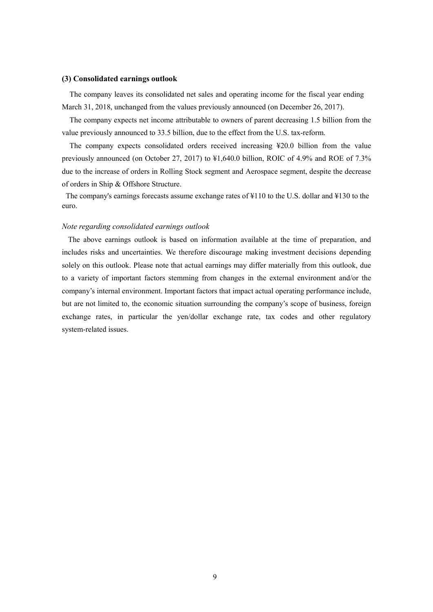### **(3) Consolidated earnings outlook**

The company leaves its consolidated net sales and operating income for the fiscal year ending March 31, 2018, unchanged from the values previously announced (on December 26, 2017).

The company expects net income attributable to owners of parent decreasing 1.5 billion from the value previously announced to 33.5 billion, due to the effect from the U.S. tax-reform.

The company expects consolidated orders received increasing ¥20.0 billion from the value previously announced (on October 27, 2017) to ¥1,640.0 billion, ROIC of 4.9% and ROE of 7.3% due to the increase of orders in Rolling Stock segment and Aerospace segment, despite the decrease of orders in Ship & Offshore Structure.

The company's earnings forecasts assume exchange rates of ¥110 to the U.S. dollar and ¥130 to the euro.

## *Note regarding consolidated earnings outlook*

The above earnings outlook is based on information available at the time of preparation, and includes risks and uncertainties. We therefore discourage making investment decisions depending solely on this outlook. Please note that actual earnings may differ materially from this outlook, due to a variety of important factors stemming from changes in the external environment and/or the company's internal environment. Important factors that impact actual operating performance include, but are not limited to, the economic situation surrounding the company's scope of business, foreign exchange rates, in particular the yen/dollar exchange rate, tax codes and other regulatory system-related issues.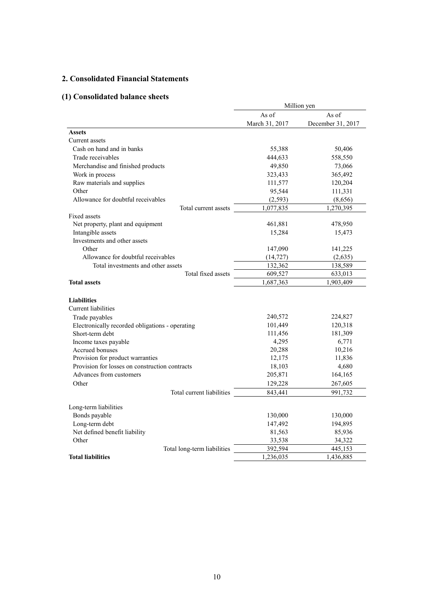# **2. Consolidated Financial Statements**

# **(1) Consolidated balance sheets**

|                                                 |                | Million yen       |
|-------------------------------------------------|----------------|-------------------|
|                                                 | As of          | As of             |
|                                                 | March 31, 2017 | December 31, 2017 |
| <b>Assets</b>                                   |                |                   |
| Current assets                                  |                |                   |
| Cash on hand and in banks                       | 55,388         | 50,406            |
| Trade receivables                               | 444,633        | 558,550           |
| Merchandise and finished products               | 49,850         | 73,066            |
| Work in process                                 | 323,433        | 365,492           |
| Raw materials and supplies                      | 111,577        | 120,204           |
| Other                                           | 95,544         | 111,331           |
| Allowance for doubtful receivables              | (2, 593)       | (8,656)           |
| Total current assets                            | 1,077,835      | 1,270,395         |
| Fixed assets                                    |                |                   |
| Net property, plant and equipment               | 461,881        | 478,950           |
| Intangible assets                               | 15,284         | 15,473            |
| Investments and other assets                    |                |                   |
| Other                                           | 147,090        | 141,225           |
| Allowance for doubtful receivables              | (14, 727)      | (2,635)           |
| Total investments and other assets              | 132,362        | 138,589           |
| Total fixed assets                              | 609,527        | 633,013           |
| <b>Total assets</b>                             | 1,687,363      | 1,903,409         |
|                                                 |                |                   |
| <b>Liabilities</b>                              |                |                   |
| Current liabilities                             |                |                   |
| Trade payables                                  | 240,572        | 224,827           |
| Electronically recorded obligations - operating | 101,449        | 120,318           |
| Short-term debt                                 | 111,456        | 181,309           |
| Income taxes payable                            | 4,295          | 6,771             |
| Accrued bonuses                                 | 20,288         | 10,216            |
| Provision for product warranties                | 12,175         | 11,836            |
| Provision for losses on construction contracts  | 18,103         | 4,680             |
| Advances from customers                         | 205,871        | 164,165           |
| Other                                           | 129,228        | 267,605           |
| Total current liabilities                       | 843,441        | 991,732           |
| Long-term liabilities                           |                |                   |
| Bonds payable                                   | 130,000        | 130,000           |
| Long-term debt                                  | 147,492        | 194,895           |
| Net defined benefit liability                   | 81,563         | 85,936            |
| Other                                           | 33,538         | 34,322            |
| Total long-term liabilities                     | 392,594        | 445,153           |
| <b>Total liabilities</b>                        | 1,236,035      | 1,436,885         |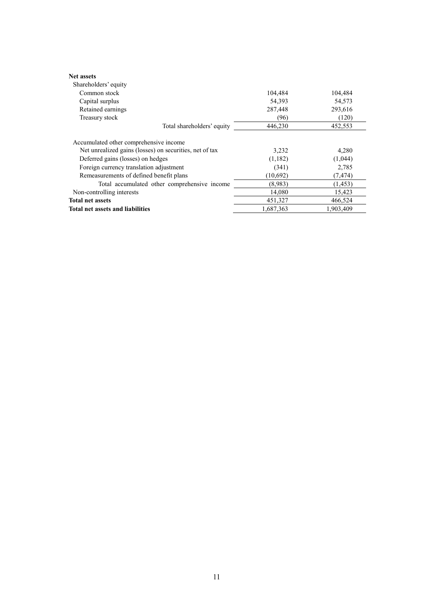| <b>Net assets</b><br>Shareholders' equity               |           |           |
|---------------------------------------------------------|-----------|-----------|
| Common stock                                            | 104,484   | 104,484   |
| Capital surplus                                         | 54,393    | 54,573    |
| Retained earnings                                       | 287,448   | 293,616   |
| Treasury stock                                          | (96)      | (120)     |
| Total shareholders' equity                              | 446,230   | 452,553   |
| Accumulated other comprehensive income                  |           |           |
| Net unrealized gains (losses) on securities, net of tax | 3,232     | 4,280     |
| Deferred gains (losses) on hedges                       | (1,182)   | (1,044)   |
| Foreign currency translation adjustment                 | (341)     | 2,785     |
| Remeasurements of defined benefit plans                 | (10,692)  | (7, 474)  |
| Total accumulated other comprehensive income            | (8.983)   | (1, 453)  |
| Non-controlling interests                               | 14,080    | 15,423    |
| <b>Total net assets</b>                                 | 451,327   | 466,524   |
| <b>Total net assets and liabilities</b>                 | 1,687,363 | 1.903.409 |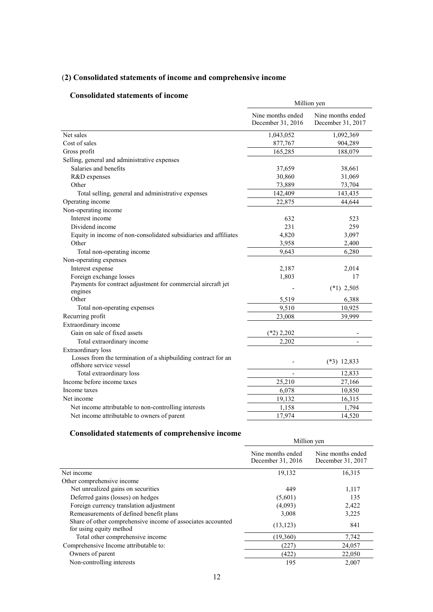# (**2) Consolidated statements of income and comprehensive income**

# **Consolidated statements of income**

|                                                                                          |                                        | Million yen                            |  |  |  |
|------------------------------------------------------------------------------------------|----------------------------------------|----------------------------------------|--|--|--|
|                                                                                          | Nine months ended<br>December 31, 2016 | Nine months ended<br>December 31, 2017 |  |  |  |
| Net sales                                                                                | 1,043,052                              | 1,092,369                              |  |  |  |
| Cost of sales                                                                            | 877,767                                | 904,289                                |  |  |  |
| Gross profit                                                                             | 165,285                                | 188,079                                |  |  |  |
| Selling, general and administrative expenses                                             |                                        |                                        |  |  |  |
| Salaries and benefits                                                                    | 37,659                                 | 38,661                                 |  |  |  |
| R&D expenses                                                                             | 30,860                                 | 31,069                                 |  |  |  |
| Other                                                                                    | 73,889                                 | 73,704                                 |  |  |  |
| Total selling, general and administrative expenses                                       | 142,409                                | 143,435                                |  |  |  |
| Operating income                                                                         | 22,875                                 | 44,644                                 |  |  |  |
| Non-operating income                                                                     |                                        |                                        |  |  |  |
| Interest income                                                                          | 632                                    | 523                                    |  |  |  |
| Dividend income                                                                          | 231                                    | 259                                    |  |  |  |
| Equity in income of non-consolidated subsidiaries and affiliates                         | 4,820                                  | 3,097                                  |  |  |  |
| Other                                                                                    | 3,958                                  | 2,400                                  |  |  |  |
| Total non-operating income                                                               | 9.643                                  | 6,280                                  |  |  |  |
| Non-operating expenses                                                                   |                                        |                                        |  |  |  |
| Interest expense                                                                         | 2,187                                  | 2,014                                  |  |  |  |
| Foreign exchange losses                                                                  | 1,803                                  | 17                                     |  |  |  |
| Payments for contract adjustment for commercial aircraft jet                             |                                        | $(*1)$ 2,505                           |  |  |  |
| engines                                                                                  |                                        |                                        |  |  |  |
| Other                                                                                    | 5,519                                  | 6,388                                  |  |  |  |
| Total non-operating expenses                                                             | 9,510                                  | 10,925                                 |  |  |  |
| Recurring profit                                                                         | 23,008                                 | 39.999                                 |  |  |  |
| Extraordinary income                                                                     |                                        |                                        |  |  |  |
| Gain on sale of fixed assets                                                             | $(*2)$ 2,202                           |                                        |  |  |  |
| Total extraordinary income                                                               | 2,202                                  |                                        |  |  |  |
| Extraordinary loss                                                                       |                                        |                                        |  |  |  |
| Losses from the termination of a shipbuilding contract for an<br>offshore service vessel |                                        | $(*3)$ 12,833                          |  |  |  |
| Total extraordinary loss                                                                 |                                        | 12,833                                 |  |  |  |
| Income before income taxes                                                               | 25,210                                 | 27,166                                 |  |  |  |
| Income taxes                                                                             | 6,078                                  | 10,850                                 |  |  |  |
| Net income                                                                               | 19,132                                 | 16,315                                 |  |  |  |
| Net income attributable to non-controlling interests                                     | 1,158                                  | 1,794                                  |  |  |  |
| Net income attributable to owners of parent                                              | 17,974                                 | 14,520                                 |  |  |  |

# **Consolidated statements of comprehensive income**

|                                                                                        | Million yen                            |                                        |  |
|----------------------------------------------------------------------------------------|----------------------------------------|----------------------------------------|--|
|                                                                                        | Nine months ended<br>December 31, 2016 | Nine months ended<br>December 31, 2017 |  |
| Net income                                                                             | 19,132                                 | 16,315                                 |  |
| Other comprehensive income                                                             |                                        |                                        |  |
| Net unrealized gains on securities                                                     | 449                                    | 1,117                                  |  |
| Deferred gains (losses) on hedges                                                      | (5,601)                                | 135                                    |  |
| Foreign currency translation adjustment                                                | (4,093)                                | 2,422                                  |  |
| Remeasurements of defined benefit plans                                                | 3,008                                  | 3,225                                  |  |
| Share of other comprehensive income of associates accounted<br>for using equity method | (13, 123)                              | 841                                    |  |
| Total other comprehensive income                                                       | (19,360)                               | 7,742                                  |  |
| Comprehensive Income attributable to:                                                  | (227)                                  | 24,057                                 |  |
| Owners of parent                                                                       | (422)                                  | 22,050                                 |  |
| Non-controlling interests                                                              | 195                                    | 2,007                                  |  |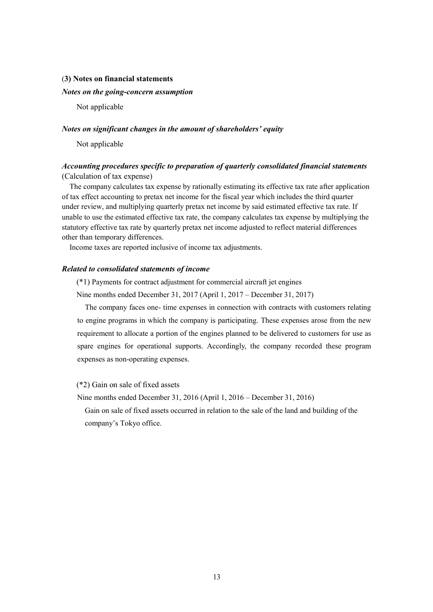### (**3) Notes on financial statements**

### *Notes on the going-concern assumption*

Not applicable

### *Notes on significant changes in the amount of shareholders' equity*

Not applicable

# *Accounting procedures specific to preparation of quarterly consolidated financial statements* (Calculation of tax expense)

The company calculates tax expense by rationally estimating its effective tax rate after application of tax effect accounting to pretax net income for the fiscal year which includes the third quarter under review, and multiplying quarterly pretax net income by said estimated effective tax rate. If unable to use the estimated effective tax rate, the company calculates tax expense by multiplying the statutory effective tax rate by quarterly pretax net income adjusted to reflect material differences other than temporary differences.

Income taxes are reported inclusive of income tax adjustments.

## *Related to consolidated statements of income*

(\*1) Payments for contract adjustment for commercial aircraft jet engines

Nine months ended December 31, 2017 (April 1, 2017 – December 31, 2017)

The company faces one- time expenses in connection with contracts with customers relating to engine programs in which the company is participating. These expenses arose from the new requirement to allocate a portion of the engines planned to be delivered to customers for use as spare engines for operational supports. Accordingly, the company recorded these program expenses as non-operating expenses.

(\*2) Gain on sale of fixed assets

Nine months ended December 31, 2016 (April 1, 2016 – December 31, 2016)

Gain on sale of fixed assets occurred in relation to the sale of the land and building of the company's Tokyo office.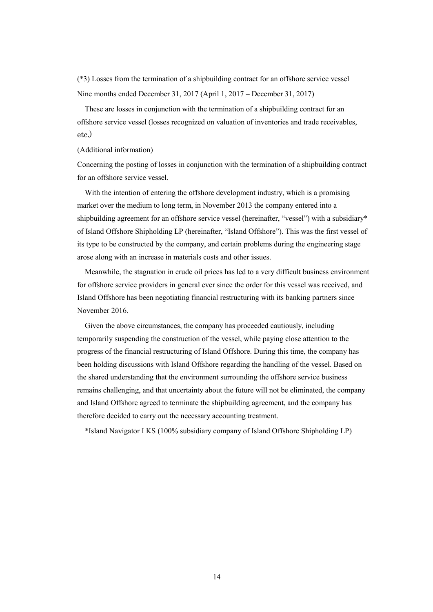(\*3) Losses from the termination of a shipbuilding contract for an offshore service vessel Nine months ended December 31, 2017 (April 1, 2017 – December 31, 2017)

These are losses in conjunction with the termination of a shipbuilding contract for an offshore service vessel (losses recognized on valuation of inventories and trade receivables, etc.)

### (Additional information)

Concerning the posting of losses in conjunction with the termination of a shipbuilding contract for an offshore service vessel.

With the intention of entering the offshore development industry, which is a promising market over the medium to long term, in November 2013 the company entered into a shipbuilding agreement for an offshore service vessel (hereinafter, "vessel") with a subsidiary\* of Island Offshore Shipholding LP (hereinafter, "Island Offshore"). This was the first vessel of its type to be constructed by the company, and certain problems during the engineering stage arose along with an increase in materials costs and other issues.

Meanwhile, the stagnation in crude oil prices has led to a very difficult business environment for offshore service providers in general ever since the order for this vessel was received, and Island Offshore has been negotiating financial restructuring with its banking partners since November 2016.

Given the above circumstances, the company has proceeded cautiously, including temporarily suspending the construction of the vessel, while paying close attention to the progress of the financial restructuring of Island Offshore. During this time, the company has been holding discussions with Island Offshore regarding the handling of the vessel. Based on the shared understanding that the environment surrounding the offshore service business remains challenging, and that uncertainty about the future will not be eliminated, the company and Island Offshore agreed to terminate the shipbuilding agreement, and the company has therefore decided to carry out the necessary accounting treatment.

\*Island Navigator I KS (100% subsidiary company of Island Offshore Shipholding LP)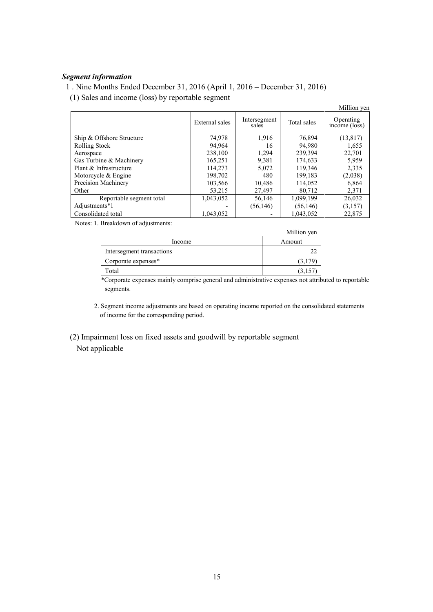# *Segment information*

1 . Nine Months Ended December 31, 2016 (April 1, 2016 – December 31, 2016)

(1) Sales and income (loss) by reportable segment

|                           |                |                       |             | Million yen                             |
|---------------------------|----------------|-----------------------|-------------|-----------------------------------------|
|                           | External sales | Intersegment<br>sales | Total sales | Operating<br>$inc\overline{one}$ (loss) |
| Ship & Offshore Structure | 74.978         | 1.916                 | 76,894      | (13, 817)                               |
| Rolling Stock             | 94,964         | 16                    | 94,980      | 1,655                                   |
| Aerospace                 | 238.100        | 1,294                 | 239.394     | 22,701                                  |
| Gas Turbine & Machinery   | 165,251        | 9,381                 | 174,633     | 5,959                                   |
| Plant & Infrastructure    | 114,273        | 5,072                 | 119.346     | 2,335                                   |
| Motorcycle & Engine       | 198,702        | 480                   | 199,183     | (2,038)                                 |
| Precision Machinery       | 103,566        | 10,486                | 114,052     | 6,864                                   |
| Other                     | 53,215         | 27,497                | 80,712      | 2,371                                   |
| Reportable segment total  | 1,043,052      | 56,146                | 1,099,199   | 26,032                                  |
| Adjustments*1             |                | (56, 146)             | (56, 146)   | (3,157)                                 |
| Consolidated total        | 1,043,052      |                       | 1,043,052   | 22,875                                  |

Notes: 1. Breakdown of adjustments:

|                           | Million yen |
|---------------------------|-------------|
| Income                    | Amount      |
| Intersegment transactions |             |
| Corporate expenses*       | 3.179       |
| Гоtal                     |             |

\*Corporate expenses mainly comprise general and administrative expenses not attributed to reportable segments.

2. Segment income adjustments are based on operating income reported on the consolidated statements of income for the corresponding period.

 (2) Impairment loss on fixed assets and goodwill by reportable segment Not applicable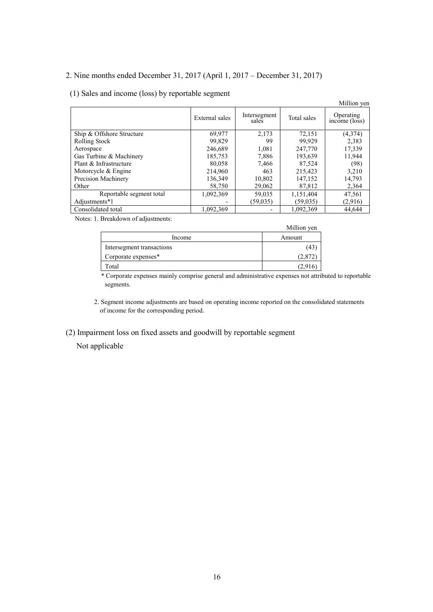# 2. Nine months ended December 31, 2017 (April 1, 2017 – December 31, 2017)

# (1) Sales and income (loss) by reportable segment

|                           |                |                       |             | Million yen                |
|---------------------------|----------------|-----------------------|-------------|----------------------------|
|                           | External sales | Intersegment<br>sales | Total sales | Operating<br>income (loss) |
| Ship & Offshore Structure | 69.977         | 2.173                 | 72,151      | (4,374)                    |
| <b>Rolling Stock</b>      | 99,829         | 99                    | 99,929      | 2,383                      |
| Aerospace                 | 246,689        | 1,081                 | 247,770     | 17,339                     |
| Gas Turbine & Machinery   | 185,753        | 7,886                 | 193,639     | 11,944                     |
| Plant & Infrastructure    | 80,058         | 7,466                 | 87,524      | (98)                       |
| Motorcycle & Engine       | 214,960        | 463                   | 215,423     | 3,210                      |
| Precision Machinery       | 136,349        | 10,802                | 147,152     | 14,793                     |
| Other                     | 58,750         | 29,062                | 87,812      | 2,364                      |
| Reportable segment total  | 1,092,369      | 59,035                | 1,151,404   | 47,561                     |
| Adjustments*1             |                | (59, 035)             | (59,035)    | (2,916)                    |
| Consolidated total        | 1,092,369      |                       | 1,092,369   | 44.644                     |

Notes: 1. Breakdown of adjustments:

|                           | Million yen |
|---------------------------|-------------|
| Income                    | Amount      |
| Intersegment transactions | (43         |
| Corporate expenses*       | (2,872)     |
| Fotal                     | (2.916      |

\* Corporate expenses mainly comprise general and administrative expenses not attributed to reportable segments.

2. Segment income adjustments are based on operating income reported on the consolidated statements of income for the corresponding period.

(2) Impairment loss on fixed assets and goodwill by reportable segment

Not applicable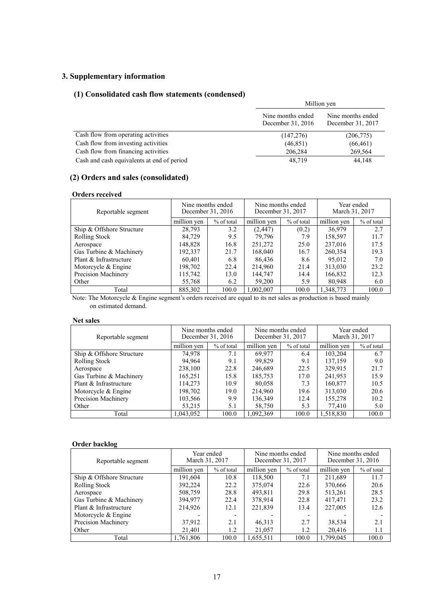# **3. Supplementary information**

# **(1) Consolidated cash flow statements (condensed)**

|                                            | Million yen                            |                                        |
|--------------------------------------------|----------------------------------------|----------------------------------------|
|                                            | Nine months ended<br>December 31, 2016 | Nine months ended<br>December 31, 2017 |
| Cash flow from operating activities        | (147,276)                              | (206,775)                              |
| Cash flow from investing activities        | (46, 851)                              | (66, 461)                              |
| Cash flow from financing activities        | 206,284                                | 269,564                                |
| Cash and cash equivalents at end of period | 48,719                                 | 44,148                                 |

# **(2) Orders and sales (consolidated)**

#### **Orders received**

| Reportable segment        | Nine months ended | December 31, 2016 | Nine months ended<br>December 31, 2017 |              | Year ended<br>March 31, 2017 |            |
|---------------------------|-------------------|-------------------|----------------------------------------|--------------|------------------------------|------------|
|                           | million yen       | % of total        | million yen                            | $%$ of total | million yen                  | % of total |
| Ship & Offshore Structure | 28,793            | 3.2               | (2, 447)                               | (0.2)        | 36.979                       | 2.7        |
| <b>Rolling Stock</b>      | 84.729            | 9.5               | 79.796                                 | 7.9          | 158,597                      | 11.7       |
| Aerospace                 | 148.828           | 16.8              | 251,272                                | 25.0         | 237,016                      | 17.5       |
| Gas Turbine & Machinery   | 192,337           | 21.7              | 168,040                                | 16.7         | 260,354                      | 19.3       |
| Plant & Infrastructure    | 60,401            | 6.8               | 86.436                                 | 8.6          | 95.012                       | 7.0        |
| Motorcycle $&$ Engine     | 198,702           | 22.4              | 214,960                                | 21.4         | 313,030                      | 23.2       |
| Precision Machinery       | 115,742           | 13.0              | 144,747                                | 14.4         | 166,832                      | 12.3       |
| Other                     | 55,768            | 6.2               | 59,200                                 | 5.9          | 80,948                       | 6.0        |
| Total                     | 885.302           | 100.0             | 1,002,007                              | 100.0        | 1.348.773                    | 100.0      |

Note: The Motorcycle & Engine segment's orders received are equal to its net sales as production is based mainly on estimated demand.

### **Net sales**

| Reportable segment        | Nine months ended | December 31, 2016 | Nine months ended<br>December 31, 2017 |            | Year ended<br>March 31, 2017 |            |
|---------------------------|-------------------|-------------------|----------------------------------------|------------|------------------------------|------------|
|                           | million yen       | % of total        | million yen                            | % of total | million yen                  | % of total |
| Ship & Offshore Structure | 74,978            | 7.1               | 69.977                                 | 6.4        | 103,204                      | 6.7        |
| Rolling Stock             | 94,964            | 9.1               | 99.829                                 | 9.1        | 137,159                      | 9.0        |
| Aerospace                 | 238,100           | 22.8              | 246,689                                | 22.5       | 329,915                      | 21.7       |
| Gas Turbine & Machinery   | 165,251           | 15.8              | 185,753                                | 17.0       | 241,953                      | 15.9       |
| Plant & Infrastructure    | 114,273           | 10.9              | 80,058                                 | 7.3        | 160,877                      | 10.5       |
| Motorcycle $&$ Engine     | 198,702           | 19.0              | 214,960                                | 19.6       | 313,030                      | 20.6       |
| Precision Machinery       | 103,566           | 9.9               | 136,349                                | 12.4       | 155,278                      | 10.2       |
| Other                     | 53,215            | 5.1               | 58,750                                 | 5.3        | 77,410                       | 5.0        |
| Total                     | 1,043,052         | 100.0             | 1,092,369                              | 100.0      | 1,518,830                    | 100.0      |

# **Order backlog**

| Reportable segment        | March 31, 2017 | Year ended | Nine months ended<br>December 31, 2017 | Nine months ended<br>December 31, 2016 |             |            |
|---------------------------|----------------|------------|----------------------------------------|----------------------------------------|-------------|------------|
|                           | million ven    | % of total | million yen                            | % of total                             | million ven | % of total |
| Ship & Offshore Structure | 191,604        | 10.8       | 118,500                                | 7.1                                    | 211,689     | 11.7       |
| <b>Rolling Stock</b>      | 392,224        | 22.2       | 375,074                                | 22.6                                   | 370,666     | 20.6       |
| Aerospace                 | 508,759        | 28.8       | 493,811                                | 29.8                                   | 513,261     | 28.5       |
| Gas Turbine & Machinery   | 394,977        | 22.4       | 378,914                                | 22.8                                   | 417,471     | 23.2       |
| Plant & Infrastructure    | 214,926        | 12.1       | 221,839                                | 13.4                                   | 227,005     | 12.6       |
| Motorcycle $&$ Engine     |                |            |                                        |                                        |             |            |
| Precision Machinery       | 37,912         | 2.1        | 46,313                                 | 2.7                                    | 38,534      | 2.1        |
| Other                     | 21,401         | 1.2        | 21,057                                 | 1.2                                    | 20,416      | 1.1        |
| Total                     | 1,761,806      | 100.0      | 1,655,511                              | 100.0                                  | 1.799.045   | 100.0      |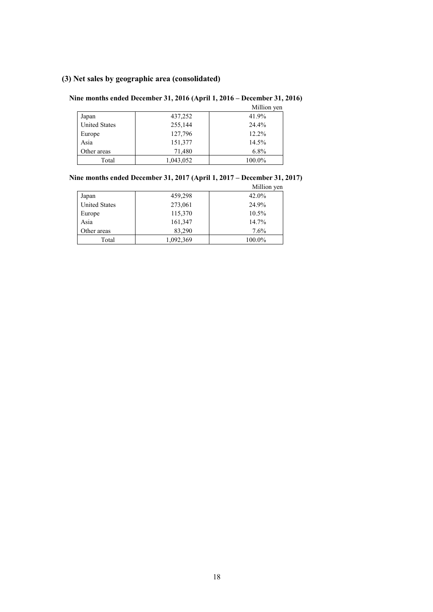# **(3) Net sales by geographic area (consolidated)**

# **Nine months ended December 31, 2016 (April 1, 2016 – December 31, 2016)**

|                      |           | Million yen |
|----------------------|-----------|-------------|
| Japan                | 437,252   | 41.9%       |
| <b>United States</b> | 255,144   | 24.4%       |
| Europe               | 127,796   | 12.2%       |
| Asia                 | 151,377   | 14.5%       |
| Other areas          | 71,480    | 6.8%        |
| Total                | 1,043,052 | 100.0%      |

# **Nine months ended December 31, 2017 (April 1, 2017 – December 31, 2017)**

|                      |           | Million yen |
|----------------------|-----------|-------------|
| Japan                | 459,298   | 42.0%       |
| <b>United States</b> | 273,061   | 24.9%       |
| Europe               | 115,370   | 10.5%       |
| Asia                 | 161,347   | 14.7%       |
| Other areas          | 83,290    | 7.6%        |
| Total                | 1,092,369 | 100.0%      |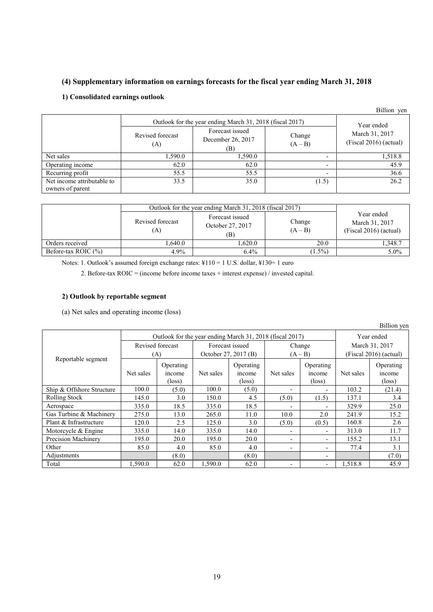# **(4) Supplementary information on earnings forecasts for the fiscal year ending March 31, 2018**

# **1) Consolidated earnings outlook**

|                                                |                         |                                             |                          | Billion yen                              |
|------------------------------------------------|-------------------------|---------------------------------------------|--------------------------|------------------------------------------|
|                                                | Year ended              |                                             |                          |                                          |
|                                                | Revised forecast<br>(A) | Forecast issued<br>December 26, 2017<br>(B) | Change<br>$(A - B)$      | March 31, 2017<br>(Fiscal 2016) (actual) |
| Net sales                                      | 1,590.0                 | 1,590.0                                     | -                        | 1,518.8                                  |
| Operating income                               | 62.0                    | 62.0                                        | ٠                        | 45.9                                     |
| Recurring profit                               | 55.5                    | 55.5                                        | $\overline{\phantom{0}}$ | 36.6                                     |
| Net income attributable to<br>owners of parent | 33.5                    | 35.0                                        | (1.5)                    | 26.2                                     |

|                        | Outlook for the year ending March 31, 2018 (fiscal 2017) |                                            |                     |                                                          |  |
|------------------------|----------------------------------------------------------|--------------------------------------------|---------------------|----------------------------------------------------------|--|
|                        | Revised forecast<br>(A)                                  | Forecast issued<br>October 27, 2017<br>(B) | Change<br>$(A - B)$ | Year ended<br>March 31, 2017<br>$(Fiscal 2016)$ (actual) |  |
| Orders received        | .640.0                                                   | .620.0                                     | 20.0                | 1.348.7                                                  |  |
| Before-tax ROIC $(\%)$ | 4.9%                                                     | 6.4%                                       | $1.5\%$             | 5.0%                                                     |  |

Notes: 1. Outlook's assumed foreign exchange rates: ¥110 = 1 U.S. dollar, ¥130 = 1 euro

2. Before-tax ROIC = (income before income taxes + interest expense) / invested capital.

## **2) Outlook by reportable segment**

(a) Net sales and operating income (loss)

|                           |                                                          |                                       |                      |                                        |           |                                        |                          | <b>DUTION</b> Agu                      |
|---------------------------|----------------------------------------------------------|---------------------------------------|----------------------|----------------------------------------|-----------|----------------------------------------|--------------------------|----------------------------------------|
|                           | Outlook for the year ending March 31, 2018 (fiscal 2017) |                                       |                      |                                        |           | Year ended                             |                          |                                        |
| Reportable segment        | Revised forecast                                         |                                       | Forecast issued      |                                        | Change    |                                        | March 31, 2017           |                                        |
|                           | (A)                                                      |                                       | October 27, 2017 (B) |                                        | $(A - B)$ |                                        | $(Fiscal 2016)$ (actual) |                                        |
|                           | Net sales                                                | Operating<br>mcome<br>$(\text{loss})$ | Net sales            | Operating<br>income<br>$(\text{loss})$ | Net sales | Operating<br>income<br>$(\text{loss})$ | Net sales                | Operating<br>income<br>$(\text{loss})$ |
| Ship & Offshore Structure | 100.0                                                    | (5.0)                                 | 100.0                | (5.0)                                  |           | $\overline{\phantom{a}}$               | 103.2                    | (21.4)                                 |
| Rolling Stock             | 145.0                                                    | 3.0                                   | 150.0                | 4.5                                    | (5.0)     | (1.5)                                  | 137.1                    | 3.4                                    |
| Aerospace                 | 335.0                                                    | 18.5                                  | 335.0                | 18.5                                   |           | $\blacksquare$                         | 329.9                    | 25.0                                   |
| Gas Turbine & Machinery   | 275.0                                                    | 13.0                                  | 265.0                | 11.0                                   | 10.0      | 2.0                                    | 241.9                    | 15.2                                   |
| Plant & Infrastructure    | 120.0                                                    | 2.5                                   | 125.0                | 3.0                                    | (5.0)     | (0.5)                                  | 160.8                    | 2.6                                    |
| Motorcycle & Engine       | 335.0                                                    | 14.0                                  | 335.0                | 14.0                                   |           | $\overline{\phantom{a}}$               | 313.0                    | 11.7                                   |
| Precision Machinery       | 195.0                                                    | 20.0                                  | 195.0                | 20.0                                   | ٠         | $\overline{\phantom{a}}$               | 155.2                    | 13.1                                   |
| Other                     | 85.0                                                     | 4.0                                   | 85.0                 | 4.0                                    | ۰.        | $\overline{\phantom{a}}$               | 77.4                     | 3.1                                    |
| Adjustments               |                                                          | (8.0)                                 |                      | (8.0)                                  |           | $\overline{\phantom{0}}$               |                          | (7.0)                                  |
| Total                     | 1.590.0                                                  | 62.0                                  | 1.590.0              | 62.0                                   |           | $\overline{\phantom{a}}$               | 1,518.8                  | 45.9                                   |